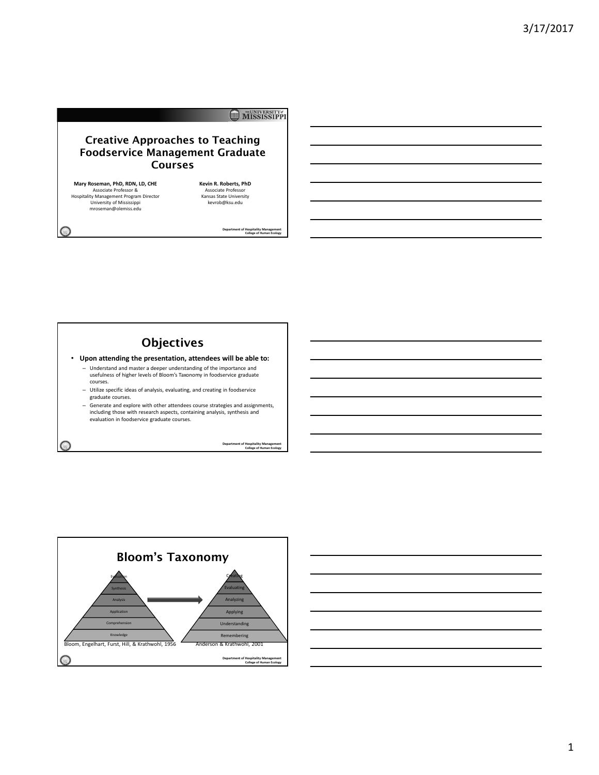## MISSISSIPPI

## Creative Approaches to Teaching Foodservice Management Graduate Courses

**Mary Roseman, PhD, RDN, LD, CHE** Associate Professor & Hospitality Management Program Director University of Mississippi mroseman@olemiss.edu

 $\bigcirc$ 

 $\bigcirc$ 

**Kevin R. Roberts, PhD** Associate Professor Kansas State University kevrob@ksu.edu

**Department of Hospitality Management College of Human Ecology** 

# **Objectives**

• **Upon attending the presentation, attendees will be able to:**

- Understand and master a deeper understanding of the importance and usefulness of higher levels of Bloom's Taxonomy in foodservice graduate courses.
- Utilize specific ideas of analysis, evaluating, and creating in foodservice graduate courses.
- Generate and explore with other attendees course strategies and assignments, including those with research aspects, containing analysis, synthesis and evaluation in foodservice graduate courses.

**Department of Hospitality Management College of Human Ecology** 



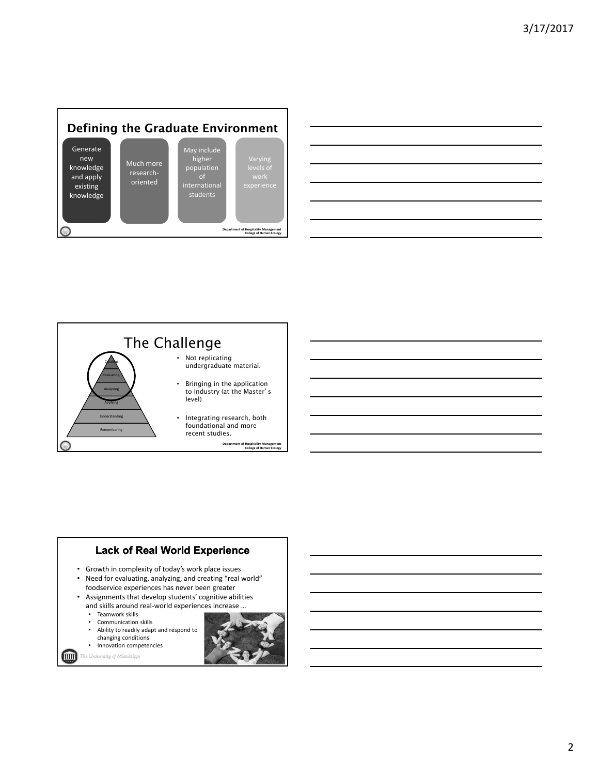

| $\overline{\phantom{a}}$ | ,我们也不会有一个人的事情。""我们的人,我们也不会有一个人的人,我们也不会有一个人的人,我们也不会有一个人的人,我们也不会有一个人的人,我们也不会有一个人的人,<br>第二百一十一章 第二百一十一章 第二百一十一章 第二百一十一章 第二百一十一章 第二百一十一章 第二百一十一章 第二百一十一章 第二百一章 第二百一章 第二百一 |  | ______ |
|--------------------------|-----------------------------------------------------------------------------------------------------------------------------------------------------------------------|--|--------|
|                          |                                                                                                                                                                       |  |        |
|                          |                                                                                                                                                                       |  |        |
|                          |                                                                                                                                                                       |  |        |
|                          |                                                                                                                                                                       |  |        |
|                          |                                                                                                                                                                       |  |        |
|                          |                                                                                                                                                                       |  |        |



## **Lack of Real World Experience**

- Growth in complexity of today's work place issues
- Need for evaluating, analyzing, and creating "real world" foodservice experiences has never been greater
- Assignments that develop students' cognitive abilities and skills around real‐world experiences increase …
	- Teamwork skills
	- Communication skills
	- Ability to readily adapt and respond to changing conditions
	- Innovation competencies

 $\blacksquare$ 

The University of Mississippi

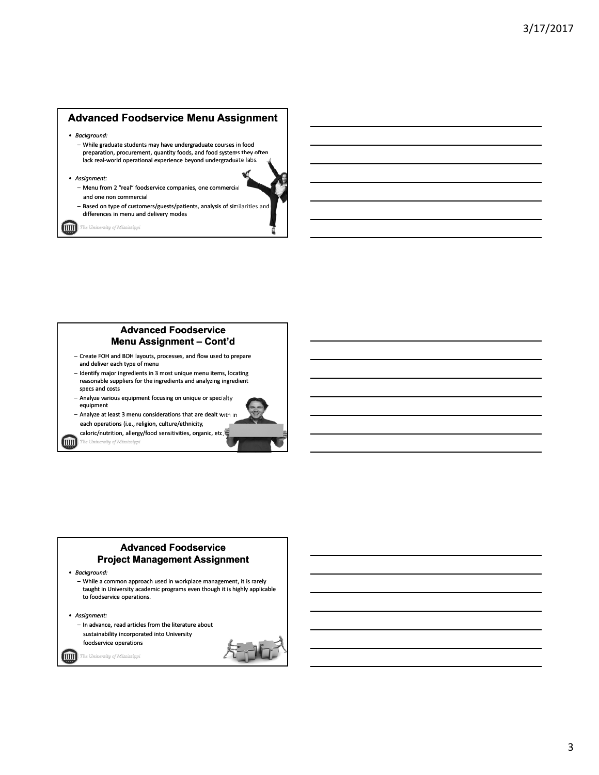#### **Advanced Foodservice Menu Assignment**

- *Background:*
	- While graduate students may have undergraduate courses in food preparation, procurement, quantity foods, and food systems they often lack real‐world operational experience beyond undergraduate labs.
- *Assignment:*
	- Menu from 2 "real" foodservice companies, one commercial and one non commercial
	- Based on type of customers/guests/patients, analysis of similarities and differences in menu and delivery modes

(IIIII) .<br>The University of Mississippi

### **Advanced Foodservice Menu Assignment – Cont'd**

- Create FOH and BOH layouts, processes, and flow used to prepare and deliver each type of menu
- Identify major ingredients in 3 most unique menu items, locating reasonable suppliers for the ingredients and analyzing ingredient specs and costs
- Analyze various equipment focusing on unique or specialty equipment

– Analyze at least 3 menu considerations that are dealt with in each operations (i.e., religion, culture/ethnicity,

caloric/nutrition, allergy/food sensitivities, organic, etc.

(mm)

ity of Mii

#### **Advanced Foodservice Project Management Assignment**

• *Background:*



• *Assignment:* – In advance, read articles from the literature about sustainability incorporated into University